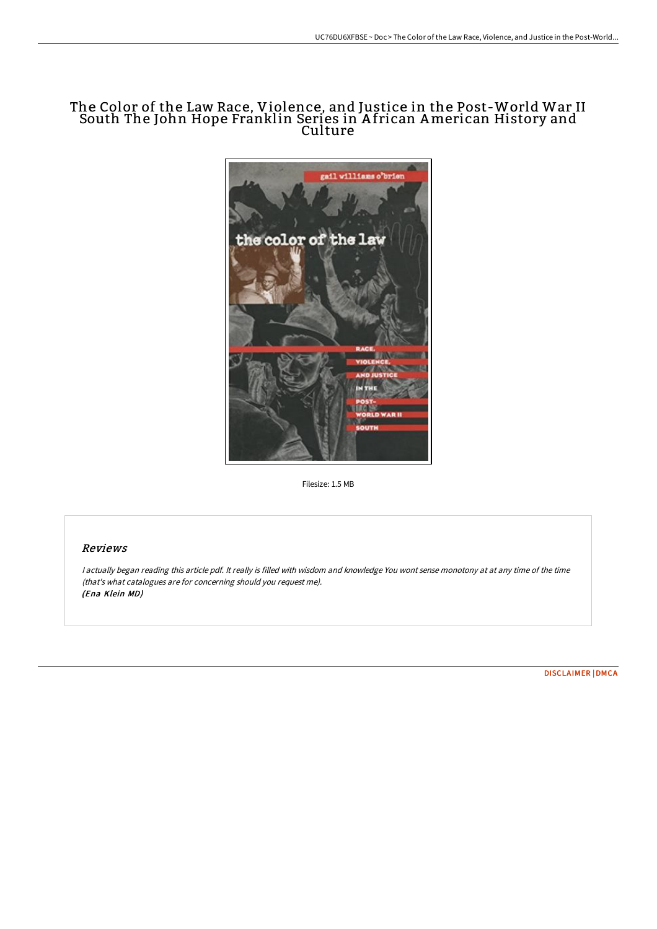# The Color of the Law Race, Violence, and Justice in the Post-World War II South The John Hope Franklin Series in A frican American History and Culture



Filesize: 1.5 MB

## Reviews

<sup>I</sup> actually began reading this article pdf. It really is filled with wisdom and knowledge You wont sense monotony at at any time of the time (that's what catalogues are for concerning should you request me). (Ena Klein MD)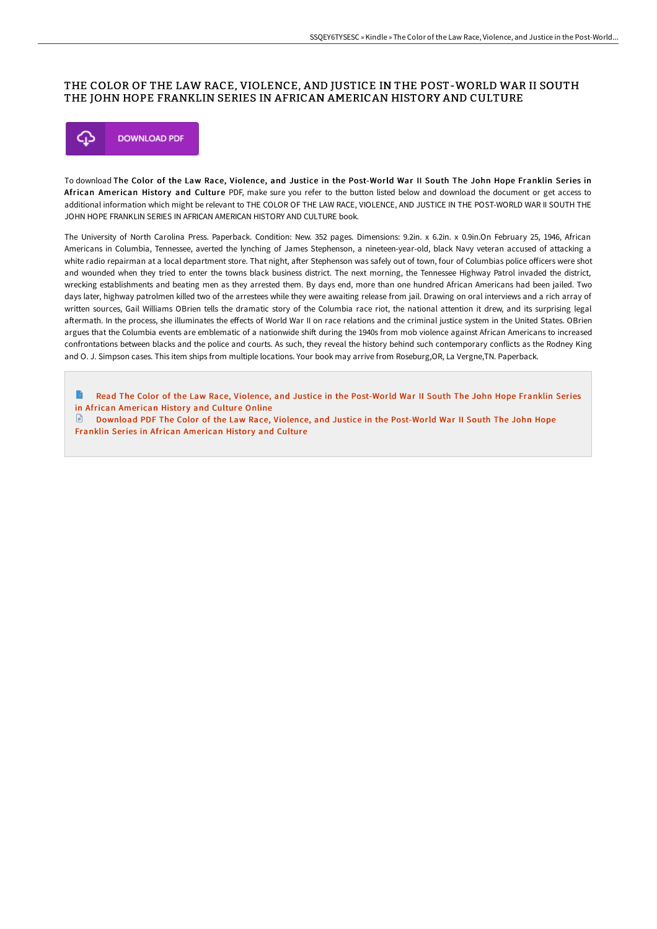### THE COLOR OF THE LAW RACE, VIOLENCE, AND JUSTICE IN THE POST-WORLD WAR II SOUTH THE JOHN HOPE FRANKLIN SERIES IN AFRICAN AMERICAN HISTORY AND CULTURE



To download The Color of the Law Race, Violence, and Justice in the Post-World War II South The John Hope Franklin Series in African American History and Culture PDF, make sure you refer to the button listed below and download the document or get access to additional information which might be relevant to THE COLOR OF THE LAW RACE, VIOLENCE, AND JUSTICE IN THE POST-WORLD WAR II SOUTH THE JOHN HOPE FRANKLIN SERIES IN AFRICAN AMERICAN HISTORY AND CULTURE book.

The University of North Carolina Press. Paperback. Condition: New. 352 pages. Dimensions: 9.2in. x 6.2in. x 0.9in.On February 25, 1946, African Americans in Columbia, Tennessee, averted the lynching of James Stephenson, a nineteen-year-old, black Navy veteran accused of attacking a white radio repairman at a local department store. That night, after Stephenson was safely out of town, four of Columbias police officers were shot and wounded when they tried to enter the towns black business district. The next morning, the Tennessee Highway Patrol invaded the district, wrecking establishments and beating men as they arrested them. By days end, more than one hundred African Americans had been jailed. Two days later, highway patrolmen killed two of the arrestees while they were awaiting release from jail. Drawing on oral interviews and a rich array of written sources, Gail Williams OBrien tells the dramatic story of the Columbia race riot, the national attention it drew, and its surprising legal aftermath. In the process, she illuminates the effects of World War II on race relations and the criminal justice system in the United States. OBrien argues that the Columbia events are emblematic of a nationwide shift during the 1940s from mob violence against African Americans to increased confrontations between blacks and the police and courts. As such, they reveal the history behind such contemporary conflicts as the Rodney King and O. J. Simpson cases. This item ships from multiple locations. Your book may arrive from Roseburg,OR, La Vergne,TN. Paperback.

Read The Color of the Law Race, Violence, and Justice in the [Post-World](http://techno-pub.tech/the-color-of-the-law-race-violence-and-justice-i.html) War II South The John Hope Franklin Series in African American History and Culture Online

Download PDF The Color of the Law Race, Violence, and Justice in the [Post-World](http://techno-pub.tech/the-color-of-the-law-race-violence-and-justice-i.html) War II South The John Hope Franklin Series in African American History and Culture